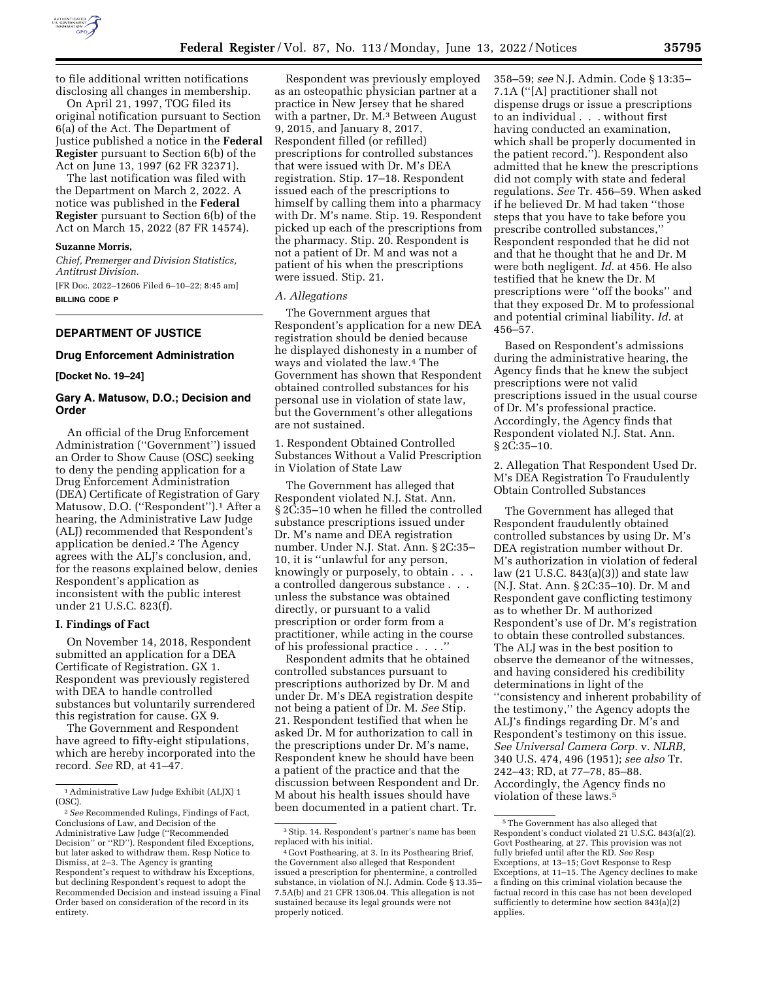

to file additional written notifications disclosing all changes in membership.

On April 21, 1997, TOG filed its original notification pursuant to Section 6(a) of the Act. The Department of Justice published a notice in the **Federal Register** pursuant to Section 6(b) of the Act on June 13, 1997 (62 FR 32371).

The last notification was filed with the Department on March 2, 2022. A notice was published in the **Federal Register** pursuant to Section 6(b) of the Act on March 15, 2022 (87 FR 14574).

#### **Suzanne Morris,**

*Chief, Premerger and Division Statistics, Antitrust Division.* 

[FR Doc. 2022–12606 Filed 6–10–22; 8:45 am] **BILLING CODE P** 

# **DEPARTMENT OF JUSTICE**

### **Drug Enforcement Administration**

## **[Docket No. 19–24]**

## **Gary A. Matusow, D.O.; Decision and Order**

An official of the Drug Enforcement Administration (''Government'') issued an Order to Show Cause (OSC) seeking to deny the pending application for a Drug Enforcement Administration (DEA) Certificate of Registration of Gary Matusow, D.O. ("Respondent").<sup>1</sup> After a hearing, the Administrative Law Judge (ALJ) recommended that Respondent's application be denied.2 The Agency agrees with the ALJ's conclusion, and, for the reasons explained below, denies Respondent's application as inconsistent with the public interest under 21 U.S.C. 823(f).

### **I. Findings of Fact**

On November 14, 2018, Respondent submitted an application for a DEA Certificate of Registration. GX 1. Respondent was previously registered with DEA to handle controlled substances but voluntarily surrendered this registration for cause. GX 9.

The Government and Respondent have agreed to fifty-eight stipulations, which are hereby incorporated into the record. *See* RD, at 41–47.

Respondent was previously employed as an osteopathic physician partner at a practice in New Jersey that he shared with a partner, Dr. M.<sup>3</sup> Between August 9, 2015, and January 8, 2017, Respondent filled (or refilled) prescriptions for controlled substances that were issued with Dr. M's DEA registration. Stip. 17–18. Respondent issued each of the prescriptions to himself by calling them into a pharmacy with Dr. M's name. Stip. 19. Respondent picked up each of the prescriptions from the pharmacy. Stip. 20. Respondent is not a patient of Dr. M and was not a patient of his when the prescriptions were issued. Stip. 21.

#### *A. Allegations*

The Government argues that Respondent's application for a new DEA registration should be denied because he displayed dishonesty in a number of ways and violated the law.4 The Government has shown that Respondent obtained controlled substances for his personal use in violation of state law, but the Government's other allegations are not sustained.

1. Respondent Obtained Controlled Substances Without a Valid Prescription in Violation of State Law

The Government has alleged that Respondent violated N.J. Stat. Ann. § 2C:35–10 when he filled the controlled substance prescriptions issued under Dr. M's name and DEA registration number. Under N.J. Stat. Ann. § 2C:35– 10, it is ''unlawful for any person, knowingly or purposely, to obtain . . . a controlled dangerous substance . . . unless the substance was obtained directly, or pursuant to a valid prescription or order form from a practitioner, while acting in the course of his professional practice . . . .''

Respondent admits that he obtained controlled substances pursuant to prescriptions authorized by Dr. M and under Dr. M's DEA registration despite not being a patient of Dr. M. *See* Stip. 21. Respondent testified that when he asked Dr. M for authorization to call in the prescriptions under Dr. M's name, Respondent knew he should have been a patient of the practice and that the discussion between Respondent and Dr. M about his health issues should have been documented in a patient chart. Tr.

358–59; *see* N.J. Admin. Code § 13:35– 7.1A (''[A] practitioner shall not dispense drugs or issue a prescriptions to an individual . . . without first having conducted an examination, which shall be properly documented in the patient record.''). Respondent also admitted that he knew the prescriptions did not comply with state and federal regulations. *See* Tr. 456–59. When asked if he believed Dr. M had taken ''those steps that you have to take before you prescribe controlled substances,'' Respondent responded that he did not and that he thought that he and Dr. M were both negligent. *Id.* at 456. He also testified that he knew the Dr. M prescriptions were ''off the books'' and that they exposed Dr. M to professional and potential criminal liability. *Id.* at 456–57.

Based on Respondent's admissions during the administrative hearing, the Agency finds that he knew the subject prescriptions were not valid prescriptions issued in the usual course of Dr. M's professional practice. Accordingly, the Agency finds that Respondent violated N.J. Stat. Ann. § 2C:35–10.

2. Allegation That Respondent Used Dr. M's DEA Registration To Fraudulently Obtain Controlled Substances

The Government has alleged that Respondent fraudulently obtained controlled substances by using Dr. M's DEA registration number without Dr. M's authorization in violation of federal law (21 U.S.C. 843(a)(3)) and state law (N.J. Stat. Ann. § 2C:35–10). Dr. M and Respondent gave conflicting testimony as to whether Dr. M authorized Respondent's use of Dr. M's registration to obtain these controlled substances. The ALJ was in the best position to observe the demeanor of the witnesses, and having considered his credibility determinations in light of the ''consistency and inherent probability of the testimony,'' the Agency adopts the ALJ's findings regarding Dr. M's and Respondent's testimony on this issue. *See Universal Camera Corp.* v. *NLRB,*  340 U.S. 474, 496 (1951); *see also* Tr. 242–43; RD, at 77–78, 85–88. Accordingly, the Agency finds no violation of these laws.5

<sup>1</sup>Administrative Law Judge Exhibit (ALJX) 1 (OSC).

<sup>2</sup>*See* Recommended Rulings, Findings of Fact, Conclusions of Law, and Decision of the Administrative Law Judge (''Recommended Decision'' or ''RD''). Respondent filed Exceptions, but later asked to withdraw them. Resp Notice to Dismiss, at 2–3. The Agency is granting Respondent's request to withdraw his Exceptions, but declining Respondent's request to adopt the Recommended Decision and instead issuing a Final Order based on consideration of the record in its entirety.

<sup>3</sup>Stip. 14. Respondent's partner's name has been replaced with his initial.

<sup>4</sup> Govt Posthearing, at 3. In its Posthearing Brief, the Government also alleged that Respondent issued a prescription for phentermine, a controlled substance, in violation of N.J. Admin. Code § 13.35– 7.5A(b) and 21 CFR 1306.04. This allegation is not sustained because its legal grounds were not properly noticed.

<sup>5</sup>The Government has also alleged that Respondent's conduct violated 21 U.S.C. 843(a)(2). Govt Posthearing, at 27. This provision was not fully briefed until after the RD. *See* Resp Exceptions, at 13–15; Govt Response to Resp Exceptions, at 11–15. The Agency declines to make a finding on this criminal violation because the factual record in this case has not been developed sufficiently to determine how section 843(a)(2) applies.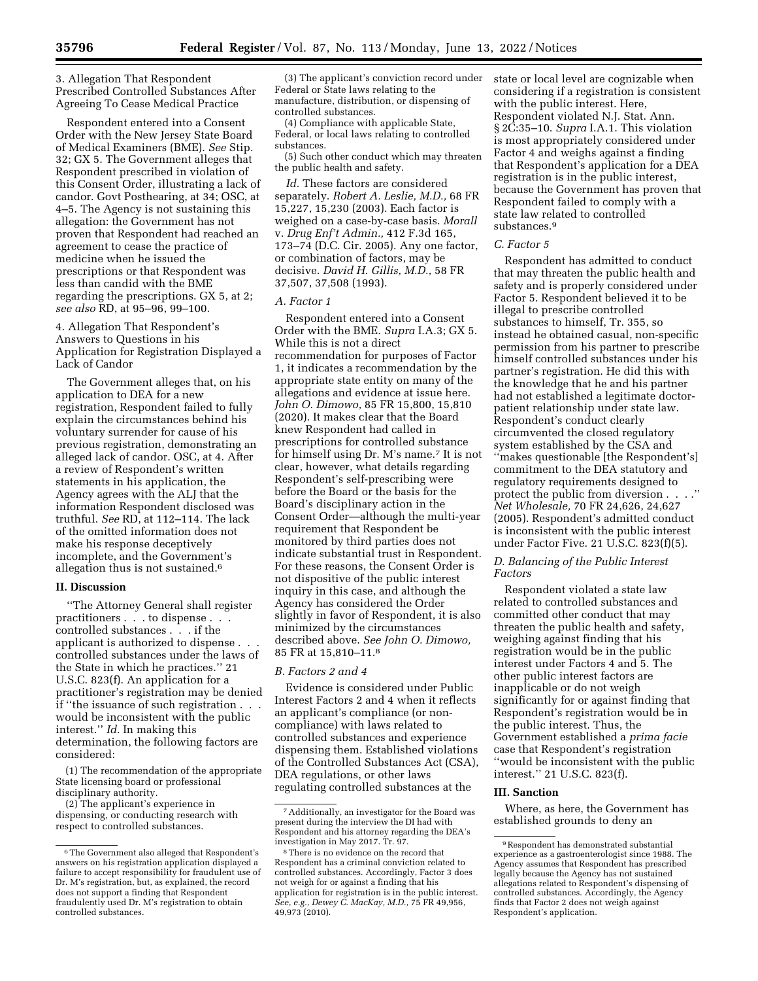3. Allegation That Respondent Prescribed Controlled Substances After Agreeing To Cease Medical Practice

Respondent entered into a Consent Order with the New Jersey State Board of Medical Examiners (BME). *See* Stip. 32; GX 5. The Government alleges that Respondent prescribed in violation of this Consent Order, illustrating a lack of candor. Govt Posthearing, at 34; OSC, at 4–5. The Agency is not sustaining this allegation: the Government has not proven that Respondent had reached an agreement to cease the practice of medicine when he issued the prescriptions or that Respondent was less than candid with the BME regarding the prescriptions. GX 5, at 2; *see also* RD, at 95–96, 99–100.

4. Allegation That Respondent's Answers to Questions in his Application for Registration Displayed a Lack of Candor

The Government alleges that, on his application to DEA for a new registration, Respondent failed to fully explain the circumstances behind his voluntary surrender for cause of his previous registration, demonstrating an alleged lack of candor. OSC, at 4. After a review of Respondent's written statements in his application, the Agency agrees with the ALJ that the information Respondent disclosed was truthful. *See* RD, at 112–114. The lack of the omitted information does not make his response deceptively incomplete, and the Government's allegation thus is not sustained.6

### **II. Discussion**

''The Attorney General shall register practitioners . . . to dispense . . . controlled substances . . . if the applicant is authorized to dispense . . . controlled substances under the laws of the State in which he practices.'' 21 U.S.C. 823(f). An application for a practitioner's registration may be denied if "the issuance of such registration. would be inconsistent with the public interest.'' *Id.* In making this determination, the following factors are considered:

(1) The recommendation of the appropriate State licensing board or professional disciplinary authority.

(2) The applicant's experience in dispensing, or conducting research with respect to controlled substances.

(3) The applicant's conviction record under Federal or State laws relating to the manufacture, distribution, or dispensing of controlled substances.

(4) Compliance with applicable State, Federal, or local laws relating to controlled substances.

(5) Such other conduct which may threaten the public health and safety.

*Id.* These factors are considered separately. *Robert A. Leslie, M.D.,* 68 FR 15,227, 15,230 (2003). Each factor is weighed on a case-by-case basis. *Morall*  v. *Drug Enf't Admin.,* 412 F.3d 165, 173–74 (D.C. Cir. 2005). Any one factor, or combination of factors, may be decisive. *David H. Gillis, M.D.,* 58 FR 37,507, 37,508 (1993).

### *A. Factor 1*

Respondent entered into a Consent Order with the BME. *Supra* I.A.3; GX 5. While this is not a direct recommendation for purposes of Factor 1, it indicates a recommendation by the appropriate state entity on many of the allegations and evidence at issue here. *John O. Dimowo,* 85 FR 15,800, 15,810 (2020). It makes clear that the Board knew Respondent had called in prescriptions for controlled substance for himself using Dr. M's name.7 It is not clear, however, what details regarding Respondent's self-prescribing were before the Board or the basis for the Board's disciplinary action in the Consent Order—although the multi-year requirement that Respondent be monitored by third parties does not indicate substantial trust in Respondent. For these reasons, the Consent Order is not dispositive of the public interest inquiry in this case, and although the Agency has considered the Order slightly in favor of Respondent, it is also minimized by the circumstances described above. *See John O. Dimowo,*  85 FR at 15,810–11.8

#### *B. Factors 2 and 4*

Evidence is considered under Public Interest Factors 2 and 4 when it reflects an applicant's compliance (or noncompliance) with laws related to controlled substances and experience dispensing them. Established violations of the Controlled Substances Act (CSA), DEA regulations, or other laws regulating controlled substances at the

state or local level are cognizable when considering if a registration is consistent with the public interest. Here, Respondent violated N.J. Stat. Ann. § 2C:35–10. *Supra* I.A.1. This violation is most appropriately considered under Factor 4 and weighs against a finding that Respondent's application for a DEA registration is in the public interest, because the Government has proven that Respondent failed to comply with a state law related to controlled substances.9

#### *C. Factor 5*

Respondent has admitted to conduct that may threaten the public health and safety and is properly considered under Factor 5. Respondent believed it to be illegal to prescribe controlled substances to himself, Tr. 355, so instead he obtained casual, non-specific permission from his partner to prescribe himself controlled substances under his partner's registration. He did this with the knowledge that he and his partner had not established a legitimate doctorpatient relationship under state law. Respondent's conduct clearly circumvented the closed regulatory system established by the CSA and ''makes questionable [the Respondent's] commitment to the DEA statutory and regulatory requirements designed to protect the public from diversion . . . *Net Wholesale,* 70 FR 24,626, 24,627 (2005). Respondent's admitted conduct is inconsistent with the public interest under Factor Five. 21 U.S.C. 823(f)(5).

## *D. Balancing of the Public Interest Factors*

Respondent violated a state law related to controlled substances and committed other conduct that may threaten the public health and safety, weighing against finding that his registration would be in the public interest under Factors 4 and 5. The other public interest factors are inapplicable or do not weigh significantly for or against finding that Respondent's registration would be in the public interest. Thus, the Government established a *prima facie*  case that Respondent's registration ''would be inconsistent with the public interest.'' 21 U.S.C. 823(f).

#### **III. Sanction**

Where, as here, the Government has established grounds to deny an

<sup>6</sup>The Government also alleged that Respondent's answers on his registration application displayed a failure to accept responsibility for fraudulent use of Dr. M's registration, but, as explained, the record does not support a finding that Respondent fraudulently used Dr. M's registration to obtain controlled substances.

<sup>7</sup>Additionally, an investigator for the Board was present during the interview the DI had with Respondent and his attorney regarding the DEA's investigation in May 2017. Tr. 97.

<sup>8</sup>There is no evidence on the record that Respondent has a criminal conviction related to controlled substances. Accordingly, Factor 3 does not weigh for or against a finding that his application for registration is in the public interest. *See, e.g., Dewey C. MacKay, M.D.,* 75 FR 49,956, 49,973 (2010).

<sup>9</sup>Respondent has demonstrated substantial experience as a gastroenterologist since 1988. The Agency assumes that Respondent has prescribed legally because the Agency has not sustained allegations related to Respondent's dispensing of controlled substances. Accordingly, the Agency finds that Factor 2 does not weigh against Respondent's application.